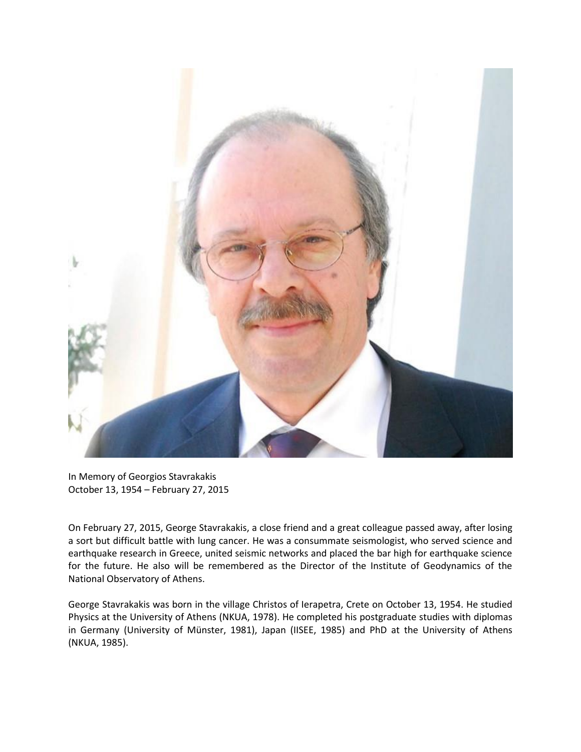

In Memory of Georgios Stavrakakis October 13, 1954 – February 27, 2015

On February 27, 2015, George Stavrakakis, a close friend and a great colleague passed away, after losing a sort but difficult battle with lung cancer. He was a consummate seismologist, who served science and earthquake research in Greece, united seismic networks and placed the bar high for earthquake science for the future. He also will be remembered as the Director of the Institute of Geodynamics of the National Observatory of Athens.

George Stavrakakis was born in the village Christos of Ierapetra, Crete on October 13, 1954. He studied Physics at the University of Athens (NKUA, 1978). He completed his postgraduate studies with diplomas in Germany (University of Münster, 1981), Japan (IISEE, 1985) and PhD at the University of Athens (NKUA, 1985).